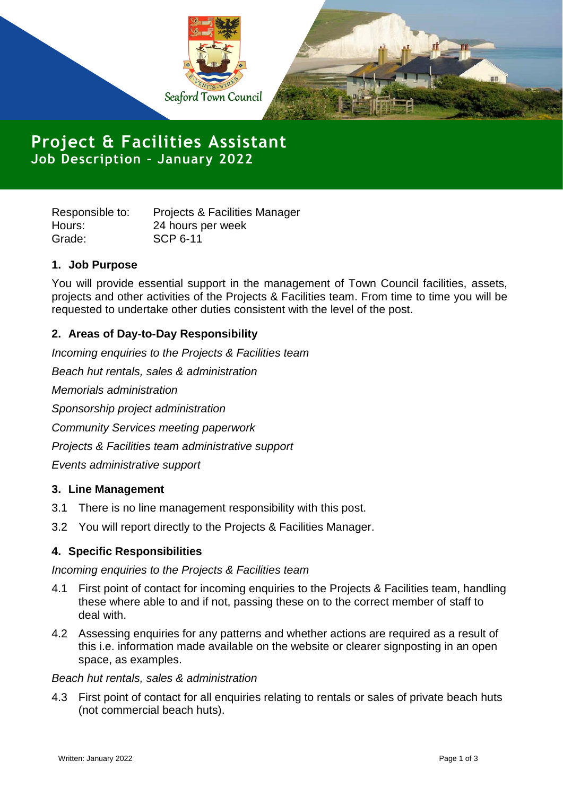

# **Project & Facilities Assistant Job Description – January 2022**

Grade: SCP 6-11

Responsible to: Projects & Facilities Manager Hours: 24 hours per week

# **1. Job Purpose**

You will provide essential support in the management of Town Council facilities, assets, projects and other activities of the Projects & Facilities team. From time to time you will be requested to undertake other duties consistent with the level of the post.

# **2. Areas of Day-to-Day Responsibility**

*Incoming enquiries to the Projects & Facilities team Beach hut rentals, sales & administration Memorials administration Sponsorship project administration Community Services meeting paperwork Projects & Facilities team administrative support Events administrative support*

#### **3. Line Management**

- 3.1 There is no line management responsibility with this post.
- 3.2 You will report directly to the Projects & Facilities Manager.

## **4. Specific Responsibilities**

#### *Incoming enquiries to the Projects & Facilities team*

- 4.1 First point of contact for incoming enquiries to the Projects & Facilities team, handling these where able to and if not, passing these on to the correct member of staff to deal with.
- 4.2 Assessing enquiries for any patterns and whether actions are required as a result of this i.e. information made available on the website or clearer signposting in an open space, as examples.

### *Beach hut rentals, sales & administration*

4.3 First point of contact for all enquiries relating to rentals or sales of private beach huts (not commercial beach huts).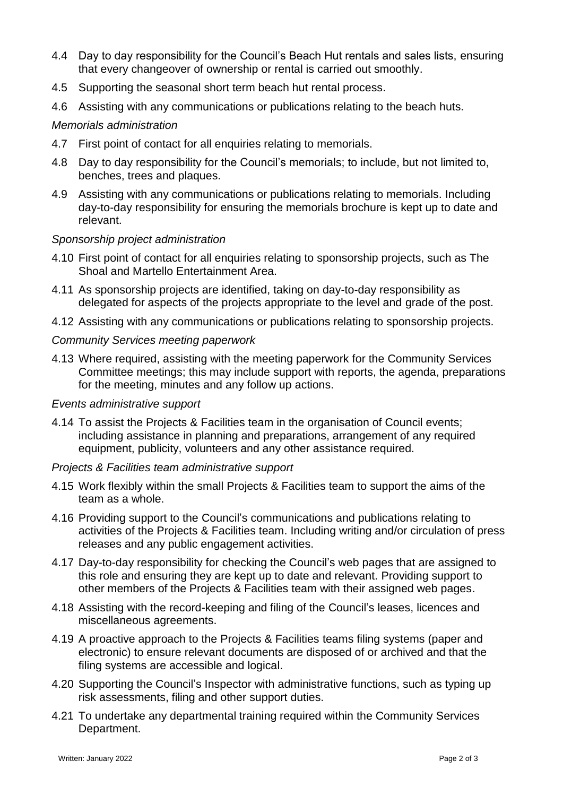- 4.4 Day to day responsibility for the Council's Beach Hut rentals and sales lists, ensuring that every changeover of ownership or rental is carried out smoothly.
- 4.5 Supporting the seasonal short term beach hut rental process.
- 4.6 Assisting with any communications or publications relating to the beach huts.

## *Memorials administration*

- 4.7 First point of contact for all enquiries relating to memorials.
- 4.8 Day to day responsibility for the Council's memorials; to include, but not limited to, benches, trees and plaques.
- 4.9 Assisting with any communications or publications relating to memorials. Including day-to-day responsibility for ensuring the memorials brochure is kept up to date and relevant.

#### *Sponsorship project administration*

- 4.10 First point of contact for all enquiries relating to sponsorship projects, such as The Shoal and Martello Entertainment Area.
- 4.11 As sponsorship projects are identified, taking on day-to-day responsibility as delegated for aspects of the projects appropriate to the level and grade of the post.
- 4.12 Assisting with any communications or publications relating to sponsorship projects.

#### *Community Services meeting paperwork*

4.13 Where required, assisting with the meeting paperwork for the Community Services Committee meetings; this may include support with reports, the agenda, preparations for the meeting, minutes and any follow up actions.

#### *Events administrative support*

4.14 To assist the Projects & Facilities team in the organisation of Council events; including assistance in planning and preparations, arrangement of any required equipment, publicity, volunteers and any other assistance required.

#### *Projects & Facilities team administrative support*

- 4.15 Work flexibly within the small Projects & Facilities team to support the aims of the team as a whole.
- 4.16 Providing support to the Council's communications and publications relating to activities of the Projects & Facilities team. Including writing and/or circulation of press releases and any public engagement activities.
- 4.17 Day-to-day responsibility for checking the Council's web pages that are assigned to this role and ensuring they are kept up to date and relevant. Providing support to other members of the Projects & Facilities team with their assigned web pages.
- 4.18 Assisting with the record-keeping and filing of the Council's leases, licences and miscellaneous agreements.
- 4.19 A proactive approach to the Projects & Facilities teams filing systems (paper and electronic) to ensure relevant documents are disposed of or archived and that the filing systems are accessible and logical.
- 4.20 Supporting the Council's Inspector with administrative functions, such as typing up risk assessments, filing and other support duties.
- 4.21 To undertake any departmental training required within the Community Services Department.